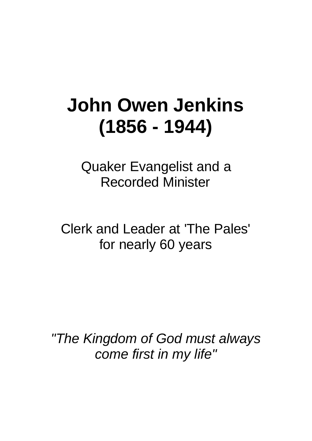## **John Owen Jenkins (1856 - 1944)**

Quaker Evangelist and a Recorded Minister

Clerk and Leader at 'The Pales' for nearly 60 years

*"The Kingdom of God must always come first in my life"*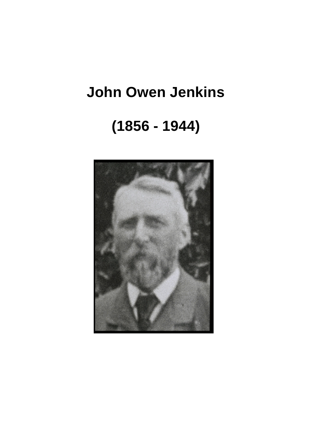## **John Owen Jenkins**

## **(1856 - 1944)**

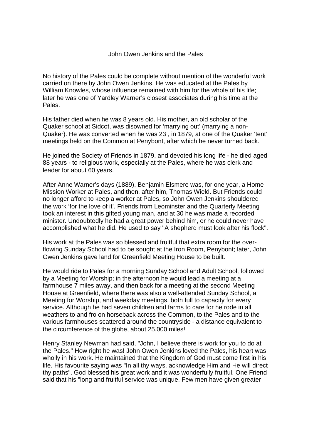No history of the Pales could be complete without mention of the wonderful work carried on there by John Owen Jenkins. He was educated at the Pales by William Knowles, whose influence remained with him for the whole of his life; later he was one of Yardley Warner's closest associates during his time at the Pales.

His father died when he was 8 years old. His mother, an old scholar of the Quaker school at Sidcot, was disowned for 'marrying out' (marrying a non-Quaker). He was converted when he was 23 , in 1879, at one of the Quaker 'tent' meetings held on the Common at Penybont, after which he never turned back.

He joined the Society of Friends in 1879, and devoted his long life - he died aged 88 years - to religious work, especially at the Pales, where he was clerk and leader for about 60 years.

After Anne Warner's days (1889), Benjamin Elsmere was, for one year, a Home Mission Worker at Pales, and then, after him, Thomas Wield. But Friends could no longer afford to keep a worker at Pales, so John Owen Jenkins shouldered the work 'for the love of it'. Friends from Leominster and the Quarterly Meeting took an interest in this gifted young man, and at 30 he was made a recorded minister. Undoubtedly he had a great power behind him, or he could never have accomplished what he did. He used to say "A shepherd must look after his flock".

His work at the Pales was so blessed and fruitful that extra room for the overflowing Sunday School had to be sought at the Iron Room, Penybont; later, John Owen Jenkins gave land for Greenfield Meeting House to be built.

He would ride to Pales for a morning Sunday School and Adult School, followed by a Meeting for Worship; in the afternoon he would lead a meeting at a farmhouse 7 miles away, and then back for a meeting at the second Meeting House at Greenfield, where there was also a well-attended Sunday School, a Meeting for Worship, and weekday meetings, both full to capacity for every service. Although he had seven children and farms to care for he rode in all weathers to and fro on horseback across the Common, to the Pales and to the various farmhouses scattered around the countryside - a distance equivalent to the circumference of the globe, about 25,000 miles!

Henry Stanley Newman had said, "John, I believe there is work for you to do at the Pales." How right he was! John Owen Jenkins loved the Pales, his heart was wholly in his work. He maintained that the Kingdom of God must come first in his life. His favourite saying was "In all thy ways, acknowledge Him and He will direct thy paths". God blessed his great work and it was wonderfully fruitful. One Friend said that his "long and fruitful service was unique. Few men have given greater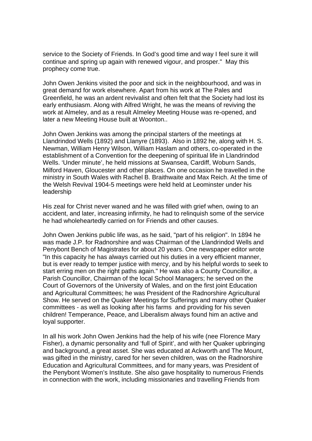service to the Society of Friends. In God's good time and way I feel sure it will continue and spring up again with renewed vigour, and prosper." May this prophecy come true.

John Owen Jenkins visited the poor and sick in the neighbourhood, and was in great demand for work elsewhere. Apart from his work at The Pales and Greenfield, he was an ardent revivalist and often felt that the Society had lost its early enthusiasm. Along with Alfred Wright, he was the means of reviving the work at Almeley, and as a result Almeley Meeting House was re-opened, and later a new Meeting House built at Woonton..

John Owen Jenkins was among the principal starters of the meetings at Llandrindod Wells (1892) and Llanyre (1893). Also in 1892 he, along with H. S. Newman, William Henry Wilson, William Haslam and others, co-operated in the establishment of a Convention for the deepening of spiritual life in Llandrindod Wells. 'Under minute', he held missions at Swansea, Cardiff, Woburn Sands, Milford Haven, Gloucester and other places. On one occasion he travelled in the ministry in South Wales with Rachel B. Braithwaite and Max Reich. At the time of the Welsh Revival 1904-5 meetings were held held at Leominster under his leadership

His zeal for Christ never waned and he was filled with grief when, owing to an accident, and later, increasing infirmity, he had to relinquish some of the service he had wholeheartedly carried on for Friends and other causes.

John Owen Jenkins public life was, as he said, "part of his religion". In 1894 he was made J.P. for Radnorshire and was Chairman of the Llandrindod Wells and Penybont Bench of Magistrates for about 20 years. One newspaper editor wrote "In this capacity he has always carried out his duties in a very efficient manner, but is ever ready to temper justice with mercy, and by his helpful words to seek to start erring men on the right paths again." He was also a County Councillor, a Parish Councillor, Chairman of the local School Managers; he served on the Court of Governors of the University of Wales, and on the first joint Education and Agricultural Committees; he was President of the Radnorshire Agricultural Show. He served on the Quaker Meetings for Sufferings and many other Quaker committees - as well as looking after his farms and providing for his seven children! Temperance, Peace, and Liberalism always found him an active and loyal supporter.

In all his work John Owen Jenkins had the help of his wife (nee Florence Mary Fisher), a dynamic personality and 'full of Spirit', and with her Quaker upbringing and background, a great asset. She was educated at Ackworth and The Mount, was gifted in the ministry, cared for her seven children, was on the Radnorshire Education and Agricultural Committees, and for many years, was President of the Penybont Women's Institute. She also gave hospitality to numerous Friends in connection with the work, including missionaries and travelling Friends from